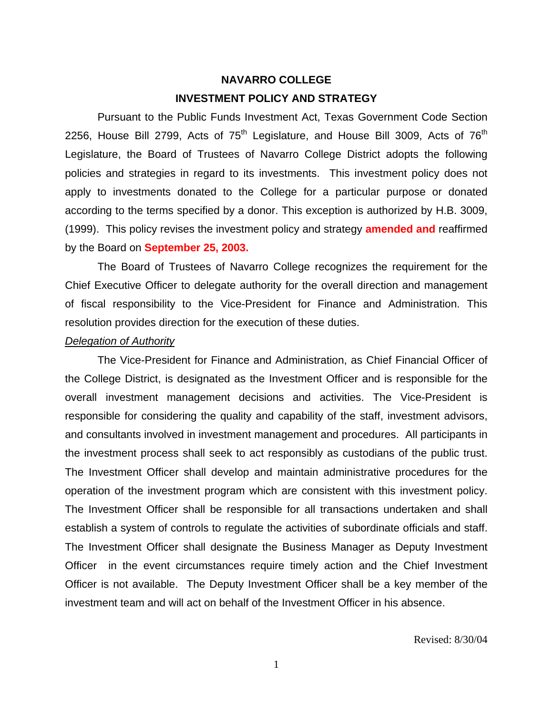# **NAVARRO COLLEGE INVESTMENT POLICY AND STRATEGY**

 Pursuant to the Public Funds Investment Act, Texas Government Code Section 2256, House Bill 2799, Acts of  $75<sup>th</sup>$  Legislature, and House Bill 3009, Acts of  $76<sup>th</sup>$ Legislature, the Board of Trustees of Navarro College District adopts the following policies and strategies in regard to its investments. This investment policy does not apply to investments donated to the College for a particular purpose or donated according to the terms specified by a donor. This exception is authorized by H.B. 3009, (1999). This policy revises the investment policy and strategy **amended and** reaffirmed by the Board on **September 25, 2003.**

 The Board of Trustees of Navarro College recognizes the requirement for the Chief Executive Officer to delegate authority for the overall direction and management of fiscal responsibility to the Vice-President for Finance and Administration. This resolution provides direction for the execution of these duties.

#### *Delegation of Authority*

 The Vice-President for Finance and Administration, as Chief Financial Officer of the College District, is designated as the Investment Officer and is responsible for the overall investment management decisions and activities. The Vice-President is responsible for considering the quality and capability of the staff, investment advisors, and consultants involved in investment management and procedures. All participants in the investment process shall seek to act responsibly as custodians of the public trust. The Investment Officer shall develop and maintain administrative procedures for the operation of the investment program which are consistent with this investment policy. The Investment Officer shall be responsible for all transactions undertaken and shall establish a system of controls to regulate the activities of subordinate officials and staff. The Investment Officer shall designate the Business Manager as Deputy Investment Officer in the event circumstances require timely action and the Chief Investment Officer is not available. The Deputy Investment Officer shall be a key member of the investment team and will act on behalf of the Investment Officer in his absence.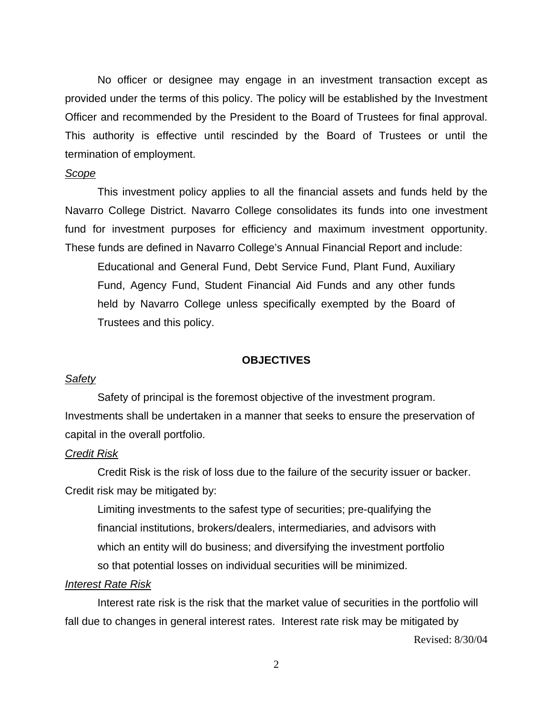No officer or designee may engage in an investment transaction except as provided under the terms of this policy. The policy will be established by the Investment Officer and recommended by the President to the Board of Trustees for final approval. This authority is effective until rescinded by the Board of Trustees or until the termination of employment.

#### *Scope*

 This investment policy applies to all the financial assets and funds held by the Navarro College District. Navarro College consolidates its funds into one investment fund for investment purposes for efficiency and maximum investment opportunity. These funds are defined in Navarro College's Annual Financial Report and include:

Educational and General Fund, Debt Service Fund, Plant Fund, Auxiliary Fund, Agency Fund, Student Financial Aid Funds and any other funds held by Navarro College unless specifically exempted by the Board of Trustees and this policy.

#### **OBJECTIVES**

#### *Safety*

Safety of principal is the foremost objective of the investment program. Investments shall be undertaken in a manner that seeks to ensure the preservation of capital in the overall portfolio.

#### *Credit Risk*

 Credit Risk is the risk of loss due to the failure of the security issuer or backer. Credit risk may be mitigated by:

Limiting investments to the safest type of securities; pre-qualifying the financial institutions, brokers/dealers, intermediaries, and advisors with which an entity will do business; and diversifying the investment portfolio so that potential losses on individual securities will be minimized.

#### *Interest Rate Risk*

 Interest rate risk is the risk that the market value of securities in the portfolio will fall due to changes in general interest rates. Interest rate risk may be mitigated by

Revised: 8/30/04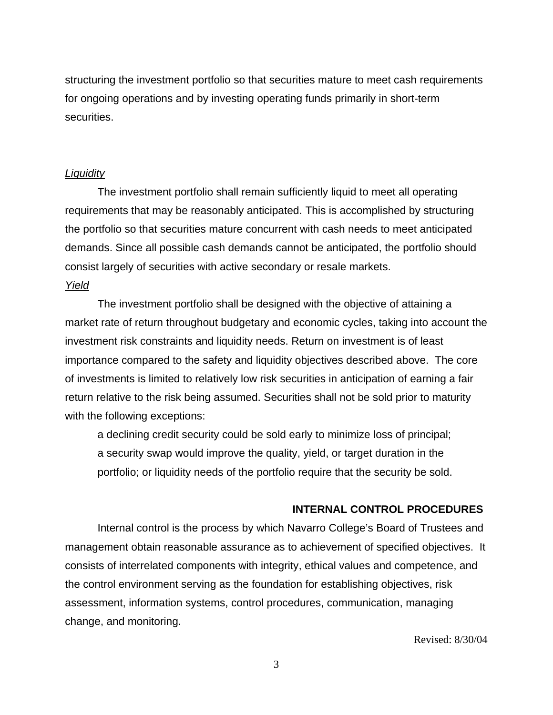structuring the investment portfolio so that securities mature to meet cash requirements for ongoing operations and by investing operating funds primarily in short-term securities.

#### *Liquidity*

 The investment portfolio shall remain sufficiently liquid to meet all operating requirements that may be reasonably anticipated. This is accomplished by structuring the portfolio so that securities mature concurrent with cash needs to meet anticipated demands. Since all possible cash demands cannot be anticipated, the portfolio should consist largely of securities with active secondary or resale markets.

#### *Yield*

 The investment portfolio shall be designed with the objective of attaining a market rate of return throughout budgetary and economic cycles, taking into account the investment risk constraints and liquidity needs. Return on investment is of least importance compared to the safety and liquidity objectives described above. The core of investments is limited to relatively low risk securities in anticipation of earning a fair return relative to the risk being assumed. Securities shall not be sold prior to maturity with the following exceptions:

a declining credit security could be sold early to minimize loss of principal; a security swap would improve the quality, yield, or target duration in the portfolio; or liquidity needs of the portfolio require that the security be sold.

#### **INTERNAL CONTROL PROCEDURES**

 Internal control is the process by which Navarro College's Board of Trustees and management obtain reasonable assurance as to achievement of specified objectives. It consists of interrelated components with integrity, ethical values and competence, and the control environment serving as the foundation for establishing objectives, risk assessment, information systems, control procedures, communication, managing change, and monitoring.

Revised: 8/30/04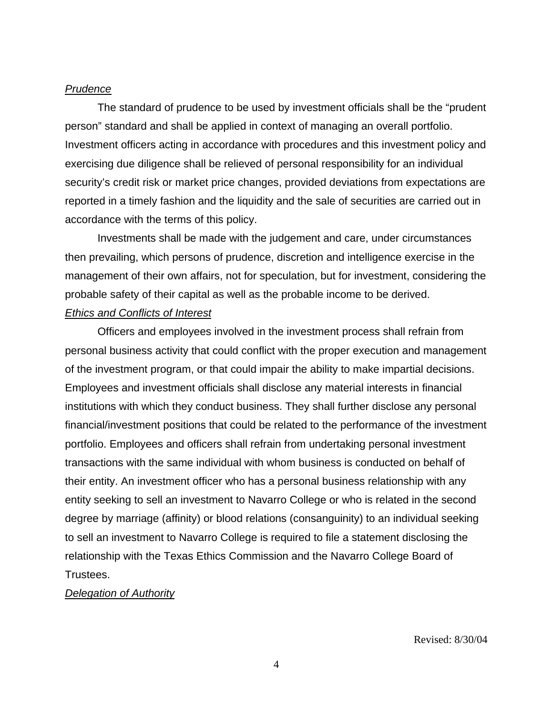#### *Prudence*

 The standard of prudence to be used by investment officials shall be the "prudent person" standard and shall be applied in context of managing an overall portfolio. Investment officers acting in accordance with procedures and this investment policy and exercising due diligence shall be relieved of personal responsibility for an individual security's credit risk or market price changes, provided deviations from expectations are reported in a timely fashion and the liquidity and the sale of securities are carried out in accordance with the terms of this policy.

 Investments shall be made with the judgement and care, under circumstances then prevailing, which persons of prudence, discretion and intelligence exercise in the management of their own affairs, not for speculation, but for investment, considering the probable safety of their capital as well as the probable income to be derived.

## *Ethics and Conflicts of Interest*

 Officers and employees involved in the investment process shall refrain from personal business activity that could conflict with the proper execution and management of the investment program, or that could impair the ability to make impartial decisions. Employees and investment officials shall disclose any material interests in financial institutions with which they conduct business. They shall further disclose any personal financial/investment positions that could be related to the performance of the investment portfolio. Employees and officers shall refrain from undertaking personal investment transactions with the same individual with whom business is conducted on behalf of their entity. An investment officer who has a personal business relationship with any entity seeking to sell an investment to Navarro College or who is related in the second degree by marriage (affinity) or blood relations (consanguinity) to an individual seeking to sell an investment to Navarro College is required to file a statement disclosing the relationship with the Texas Ethics Commission and the Navarro College Board of Trustees.

#### *Delegation of Authority*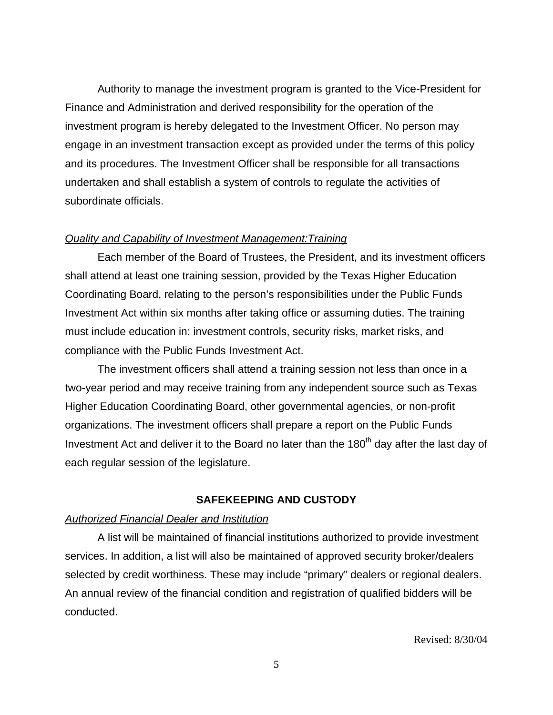Authority to manage the investment program is granted to the Vice-President for Finance and Administration and derived responsibility for the operation of the investment program is hereby delegated to the Investment Officer. No person may engage in an investment transaction except as provided under the terms of this policy and its procedures. The Investment Officer shall be responsible for all transactions undertaken and shall establish a system of controls to regulate the activities of subordinate officials.

#### *Quality and Capability of Investment Management:Training*

 Each member of the Board of Trustees, the President, and its investment officers shall attend at least one training session, provided by the Texas Higher Education Coordinating Board, relating to the person's responsibilities under the Public Funds Investment Act within six months after taking office or assuming duties. The training must include education in: investment controls, security risks, market risks, and compliance with the Public Funds Investment Act.

 The investment officers shall attend a training session not less than once in a two-year period and may receive training from any independent source such as Texas Higher Education Coordinating Board, other governmental agencies, or non-profit organizations. The investment officers shall prepare a report on the Public Funds Investment Act and deliver it to the Board no later than the 180<sup>th</sup> day after the last day of each regular session of the legislature.

#### **SAFEKEEPING AND CUSTODY**

#### *Authorized Financial Dealer and Institution*

 A list will be maintained of financial institutions authorized to provide investment services. In addition, a list will also be maintained of approved security broker/dealers selected by credit worthiness. These may include "primary" dealers or regional dealers. An annual review of the financial condition and registration of qualified bidders will be conducted.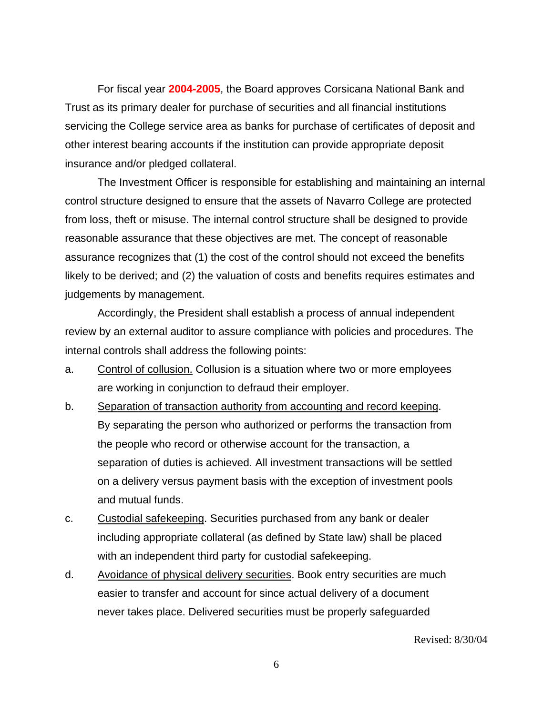For fiscal year **2004-2005**, the Board approves Corsicana National Bank and Trust as its primary dealer for purchase of securities and all financial institutions servicing the College service area as banks for purchase of certificates of deposit and other interest bearing accounts if the institution can provide appropriate deposit insurance and/or pledged collateral.

 The Investment Officer is responsible for establishing and maintaining an internal control structure designed to ensure that the assets of Navarro College are protected from loss, theft or misuse. The internal control structure shall be designed to provide reasonable assurance that these objectives are met. The concept of reasonable assurance recognizes that (1) the cost of the control should not exceed the benefits likely to be derived; and (2) the valuation of costs and benefits requires estimates and judgements by management.

 Accordingly, the President shall establish a process of annual independent review by an external auditor to assure compliance with policies and procedures. The internal controls shall address the following points:

- a. Control of collusion. Collusion is a situation where two or more employees are working in conjunction to defraud their employer.
- b. Separation of transaction authority from accounting and record keeping. By separating the person who authorized or performs the transaction from the people who record or otherwise account for the transaction, a separation of duties is achieved. All investment transactions will be settled on a delivery versus payment basis with the exception of investment pools and mutual funds.
- c. Custodial safekeeping. Securities purchased from any bank or dealer including appropriate collateral (as defined by State law) shall be placed with an independent third party for custodial safekeeping.
- d. Avoidance of physical delivery securities. Book entry securities are much easier to transfer and account for since actual delivery of a document never takes place. Delivered securities must be properly safeguarded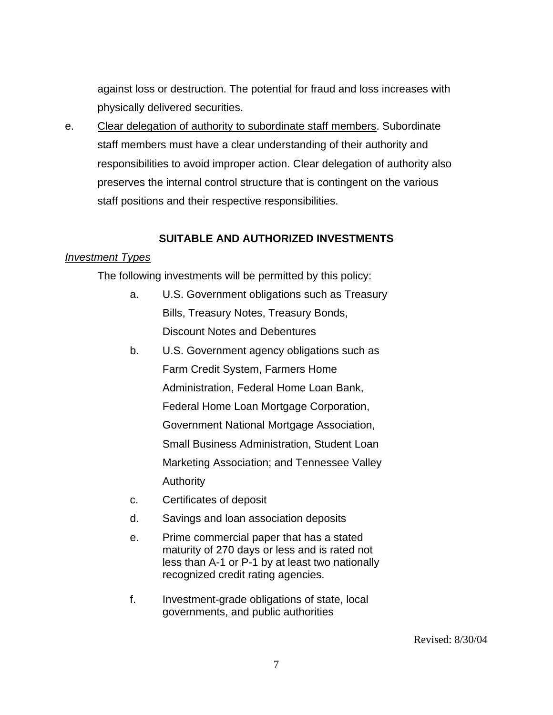against loss or destruction. The potential for fraud and loss increases with physically delivered securities.

e. Clear delegation of authority to subordinate staff members. Subordinate staff members must have a clear understanding of their authority and responsibilities to avoid improper action. Clear delegation of authority also preserves the internal control structure that is contingent on the various staff positions and their respective responsibilities.

# **SUITABLE AND AUTHORIZED INVESTMENTS**

# *Investment Types*

The following investments will be permitted by this policy:

- a. U.S. Government obligations such as Treasury Bills, Treasury Notes, Treasury Bonds, Discount Notes and Debentures
- b. U.S. Government agency obligations such as Farm Credit System, Farmers Home Administration, Federal Home Loan Bank, Federal Home Loan Mortgage Corporation, Government National Mortgage Association, Small Business Administration, Student Loan Marketing Association; and Tennessee Valley **Authority**
- c. Certificates of deposit
- d. Savings and loan association deposits
- e. Prime commercial paper that has a stated maturity of 270 days or less and is rated not less than A-1 or P-1 by at least two nationally recognized credit rating agencies.
- f. Investment-grade obligations of state, local governments, and public authorities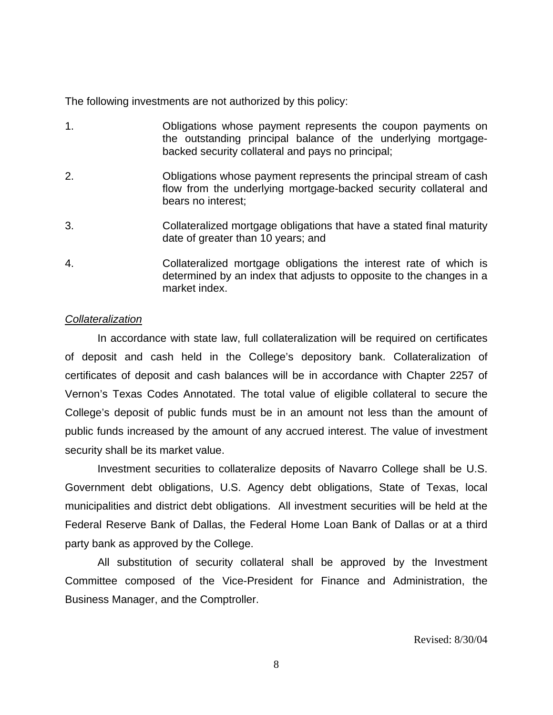The following investments are not authorized by this policy:

- 1. Obligations whose payment represents the coupon payments on the outstanding principal balance of the underlying mortgagebacked security collateral and pays no principal;
- 2. Obligations whose payment represents the principal stream of cash flow from the underlying mortgage-backed security collateral and bears no interest:
- 3. Collateralized mortgage obligations that have a stated final maturity date of greater than 10 years; and
- 4. Collateralized mortgage obligations the interest rate of which is determined by an index that adjusts to opposite to the changes in a market index.

## *Collateralization*

 In accordance with state law, full collateralization will be required on certificates of deposit and cash held in the College's depository bank. Collateralization of certificates of deposit and cash balances will be in accordance with Chapter 2257 of Vernon's Texas Codes Annotated. The total value of eligible collateral to secure the College's deposit of public funds must be in an amount not less than the amount of public funds increased by the amount of any accrued interest. The value of investment security shall be its market value.

 Investment securities to collateralize deposits of Navarro College shall be U.S. Government debt obligations, U.S. Agency debt obligations, State of Texas, local municipalities and district debt obligations. All investment securities will be held at the Federal Reserve Bank of Dallas, the Federal Home Loan Bank of Dallas or at a third party bank as approved by the College.

 All substitution of security collateral shall be approved by the Investment Committee composed of the Vice-President for Finance and Administration, the Business Manager, and the Comptroller.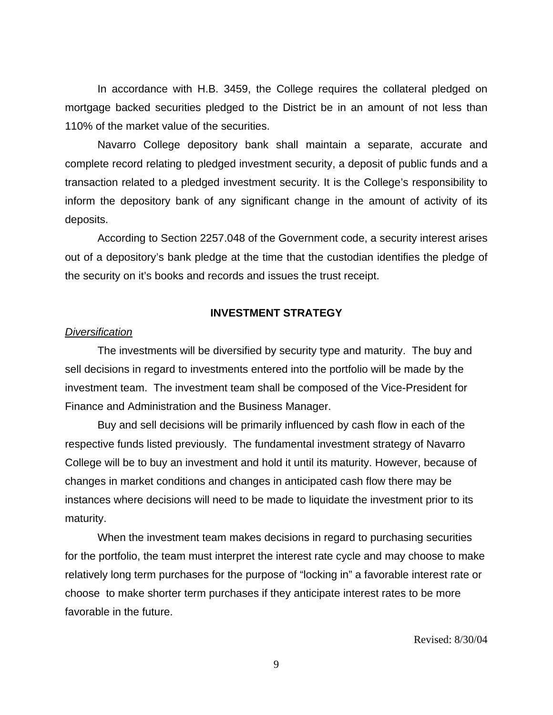In accordance with H.B. 3459, the College requires the collateral pledged on mortgage backed securities pledged to the District be in an amount of not less than 110% of the market value of the securities.

 Navarro College depository bank shall maintain a separate, accurate and complete record relating to pledged investment security, a deposit of public funds and a transaction related to a pledged investment security. It is the College's responsibility to inform the depository bank of any significant change in the amount of activity of its deposits.

 According to Section 2257.048 of the Government code, a security interest arises out of a depository's bank pledge at the time that the custodian identifies the pledge of the security on it's books and records and issues the trust receipt.

#### **INVESTMENT STRATEGY**

#### *Diversification*

 The investments will be diversified by security type and maturity. The buy and sell decisions in regard to investments entered into the portfolio will be made by the investment team. The investment team shall be composed of the Vice-President for Finance and Administration and the Business Manager.

 Buy and sell decisions will be primarily influenced by cash flow in each of the respective funds listed previously. The fundamental investment strategy of Navarro College will be to buy an investment and hold it until its maturity. However, because of changes in market conditions and changes in anticipated cash flow there may be instances where decisions will need to be made to liquidate the investment prior to its maturity.

 When the investment team makes decisions in regard to purchasing securities for the portfolio, the team must interpret the interest rate cycle and may choose to make relatively long term purchases for the purpose of "locking in" a favorable interest rate or choose to make shorter term purchases if they anticipate interest rates to be more favorable in the future.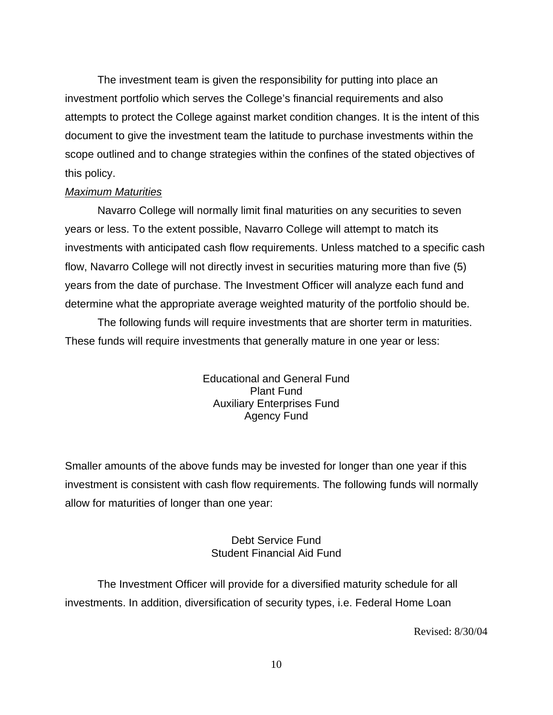The investment team is given the responsibility for putting into place an investment portfolio which serves the College's financial requirements and also attempts to protect the College against market condition changes. It is the intent of this document to give the investment team the latitude to purchase investments within the scope outlined and to change strategies within the confines of the stated objectives of this policy.

## *Maximum Maturities*

 Navarro College will normally limit final maturities on any securities to seven years or less. To the extent possible, Navarro College will attempt to match its investments with anticipated cash flow requirements. Unless matched to a specific cash flow, Navarro College will not directly invest in securities maturing more than five (5) years from the date of purchase. The Investment Officer will analyze each fund and determine what the appropriate average weighted maturity of the portfolio should be.

 The following funds will require investments that are shorter term in maturities. These funds will require investments that generally mature in one year or less:

> Educational and General Fund Plant Fund Auxiliary Enterprises Fund Agency Fund

Smaller amounts of the above funds may be invested for longer than one year if this investment is consistent with cash flow requirements. The following funds will normally allow for maturities of longer than one year:

# Debt Service Fund Student Financial Aid Fund

 The Investment Officer will provide for a diversified maturity schedule for all investments. In addition, diversification of security types, i.e. Federal Home Loan

Revised: 8/30/04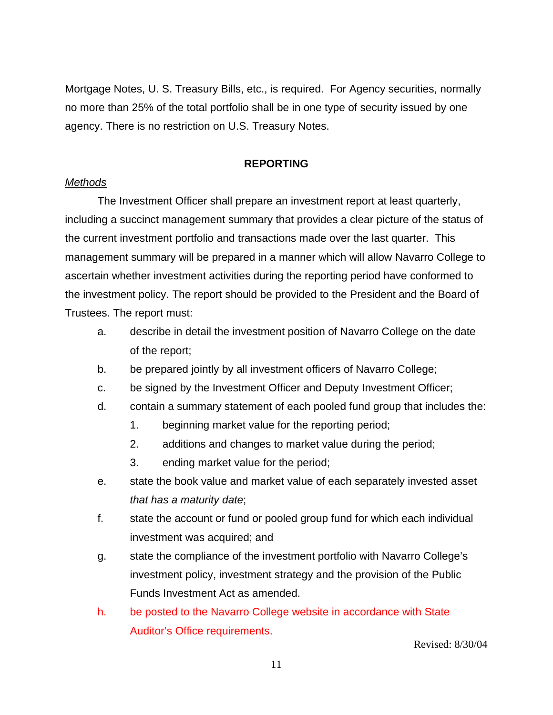Mortgage Notes, U. S. Treasury Bills, etc., is required. For Agency securities, normally no more than 25% of the total portfolio shall be in one type of security issued by one agency. There is no restriction on U.S. Treasury Notes.

# **REPORTING**

# *Methods*

 The Investment Officer shall prepare an investment report at least quarterly, including a succinct management summary that provides a clear picture of the status of the current investment portfolio and transactions made over the last quarter. This management summary will be prepared in a manner which will allow Navarro College to ascertain whether investment activities during the reporting period have conformed to the investment policy. The report should be provided to the President and the Board of Trustees. The report must:

- a. describe in detail the investment position of Navarro College on the date of the report;
- b. be prepared jointly by all investment officers of Navarro College;
- c. be signed by the Investment Officer and Deputy Investment Officer;
- d. contain a summary statement of each pooled fund group that includes the:
	- 1. beginning market value for the reporting period;
	- 2. additions and changes to market value during the period;
	- 3. ending market value for the period;
- e. state the book value and market value of each separately invested asset *that has a maturity date*;
- f. state the account or fund or pooled group fund for which each individual investment was acquired; and
- g. state the compliance of the investment portfolio with Navarro College's investment policy, investment strategy and the provision of the Public Funds Investment Act as amended.
- h. be posted to the Navarro College website in accordance with State Auditor's Office requirements.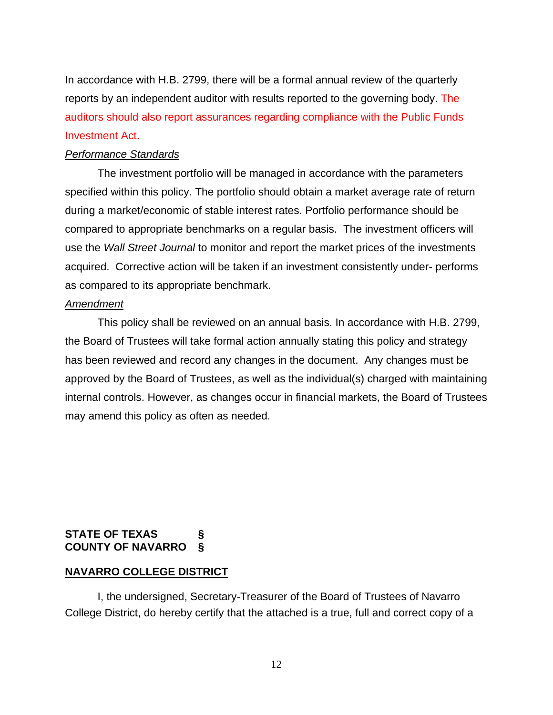In accordance with H.B. 2799, there will be a formal annual review of the quarterly reports by an independent auditor with results reported to the governing body. The auditors should also report assurances regarding compliance with the Public Funds Investment Act.

## *Performance Standards*

 The investment portfolio will be managed in accordance with the parameters specified within this policy. The portfolio should obtain a market average rate of return during a market/economic of stable interest rates. Portfolio performance should be compared to appropriate benchmarks on a regular basis. The investment officers will use the *Wall Street Journal* to monitor and report the market prices of the investments acquired. Corrective action will be taken if an investment consistently under- performs as compared to its appropriate benchmark.

#### *Amendment*

 This policy shall be reviewed on an annual basis. In accordance with H.B. 2799, the Board of Trustees will take formal action annually stating this policy and strategy has been reviewed and record any changes in the document. Any changes must be approved by the Board of Trustees, as well as the individual(s) charged with maintaining internal controls. However, as changes occur in financial markets, the Board of Trustees may amend this policy as often as needed.

## **STATE OF TEXAS § COUNTY OF NAVARRO §**

#### **NAVARRO COLLEGE DISTRICT**

 I, the undersigned, Secretary-Treasurer of the Board of Trustees of Navarro College District, do hereby certify that the attached is a true, full and correct copy of a